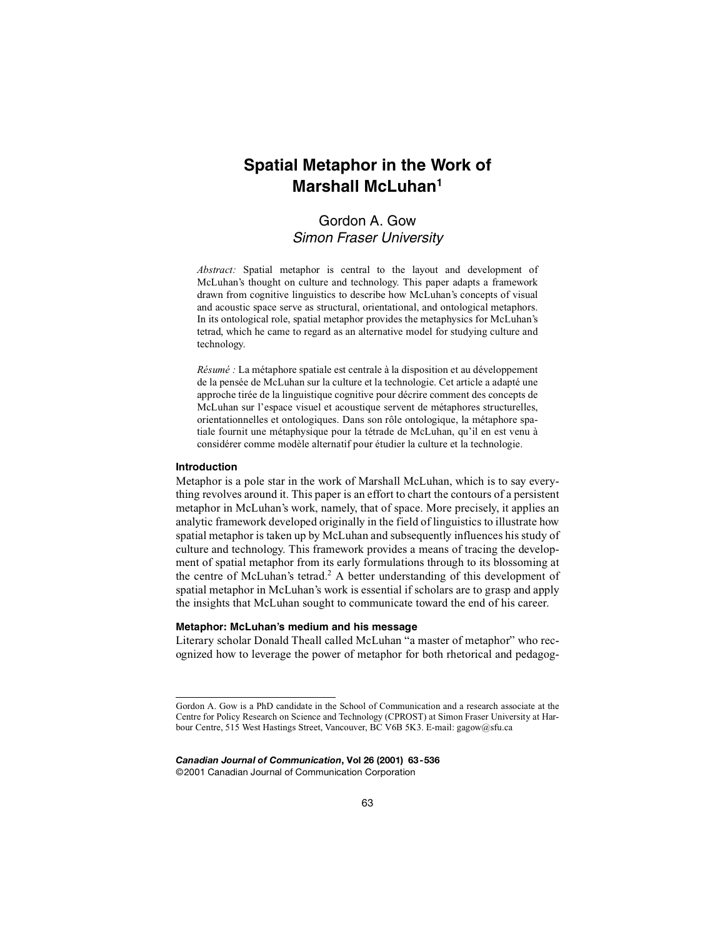# **Spatial Metaphor in the Work of Marshall McLuhan1**

# Gordon A. Gow Simon Fraser University

*Abstract:* Spatial metaphor is central to the layout and development of McLuhan's thought on culture and technology. This paper adapts a framework drawn from cognitive linguistics to describe how McLuhan's concepts of visual and acoustic space serve as structural, orientational, and ontological metaphors. In its ontological role, spatial metaphor provides the metaphysics for McLuhan's tetrad, which he came to regard as an alternative model for studying culture and technology.

*Résumé :* La métaphore spatiale est centrale à la disposition et au développement de la pensée de McLuhan sur la culture et la technologie. Cet article a adapté une approche tirée de la linguistique cognitive pour décrire comment des concepts de McLuhan sur l'espace visuel et acoustique servent de métaphores structurelles, orientationnelles et ontologiques. Dans son rôle ontologique, la métaphore spatiale fournit une métaphysique pour la tétrade de McLuhan, qu'il en est venu à considérer comme modèle alternatif pour étudier la culture et la technologie.

#### **Introduction**

Metaphor is a pole star in the work of Marshall McLuhan, which is to say everything revolves around it. This paper is an effort to chart the contours of a persistent metaphor in McLuhan's work, namely, that of space. More precisely, it applies an analytic framework developed originally in the field of linguistics to illustrate how spatial metaphor is taken up by McLuhan and subsequently influences his study of culture and technology. This framework provides a means of tracing the development of spatial metaphor from its early formulations through to its blossoming at the centre of McLuhan's tetrad.<sup>2</sup> A better understanding of this development of spatial metaphor in McLuhan's work is essential if scholars are to grasp and apply the insights that McLuhan sought to communicate toward the end of his career.

# **Metaphor: McLuhan's medium and his message**

Literary scholar Donald Theall called McLuhan "a master of metaphor" who recognized how to leverage the power of metaphor for both rhetorical and pedagog-

*Canadian Journal of Communication***, Vol 26 (2001) 63-536** ©2001 Canadian Journal of Communication Corporation

Gordon A. Gow is a PhD candidate in the School of Communication and a research associate at the Centre for Policy Research on Science and Technology (CPROST) at Simon Fraser University at Harbour Centre, 515 West Hastings Street, Vancouver, BC V6B 5K3. E-mail: gagow@sfu.ca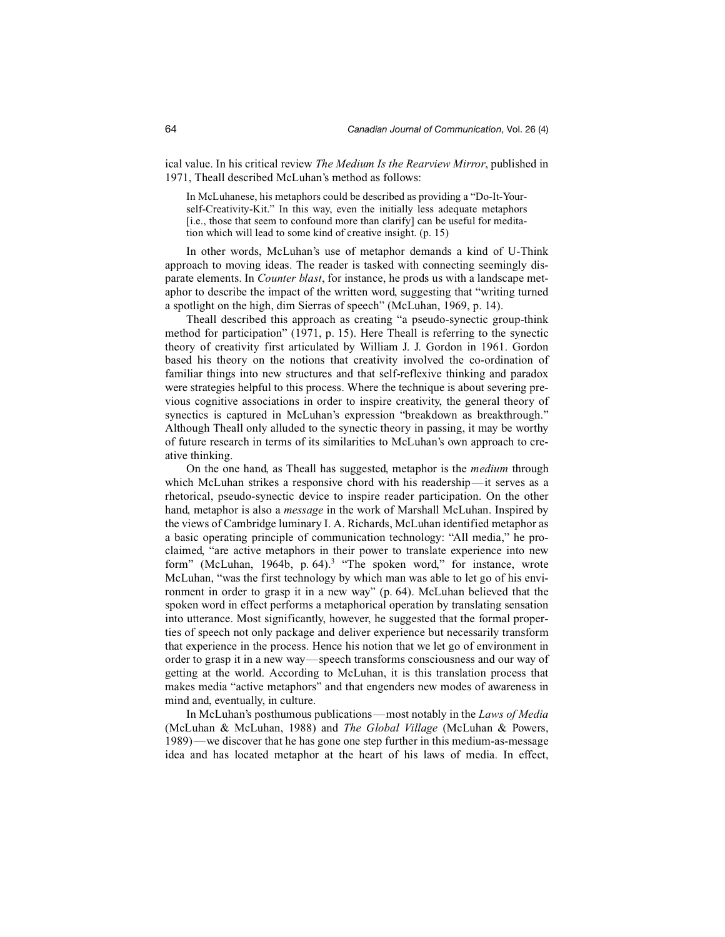ical value. In his critical review *The Medium Is the Rearview Mirror*, published in 1971, Theall described McLuhan's method as follows:

In McLuhanese, his metaphors could be described as providing a "Do-It-Yourself-Creativity-Kit." In this way, even the initially less adequate metaphors [i.e., those that seem to confound more than clarify] can be useful for meditation which will lead to some kind of creative insight. (p. 15)

In other words, McLuhan's use of metaphor demands a kind of U-Think approach to moving ideas. The reader is tasked with connecting seemingly disparate elements. In *Counter blast*, for instance, he prods us with a landscape metaphor to describe the impact of the written word, suggesting that "writing turned a spotlight on the high, dim Sierras of speech" (McLuhan, 1969, p. 14).

Theall described this approach as creating "a pseudo-synectic group-think method for participation" (1971, p. 15). Here Theall is referring to the synectic theory of creativity first articulated by William J. J. Gordon in 1961. Gordon based his theory on the notions that creativity involved the co-ordination of familiar things into new structures and that self-reflexive thinking and paradox were strategies helpful to this process. Where the technique is about severing previous cognitive associations in order to inspire creativity, the general theory of synectics is captured in McLuhan's expression "breakdown as breakthrough." Although Theall only alluded to the synectic theory in passing, it may be worthy of future research in terms of its similarities to McLuhan's own approach to creative thinking.

On the one hand, as Theall has suggested, metaphor is the *medium* through which McLuhan strikes a responsive chord with his readership—it serves as a rhetorical, pseudo-synectic device to inspire reader participation. On the other hand, metaphor is also a *message* in the work of Marshall McLuhan. Inspired by the views of Cambridge luminary I. A. Richards, McLuhan identified metaphor as a basic operating principle of communication technology: "All media," he proclaimed, "are active metaphors in their power to translate experience into new form" (McLuhan, 1964b, p. 64).<sup>3</sup> "The spoken word," for instance, wrote McLuhan, "was the first technology by which man was able to let go of his environment in order to grasp it in a new way" (p. 64). McLuhan believed that the spoken word in effect performs a metaphorical operation by translating sensation into utterance. Most significantly, however, he suggested that the formal properties of speech not only package and deliver experience but necessarily transform that experience in the process. Hence his notion that we let go of environment in order to grasp it in a new way—speech transforms consciousness and our way of getting at the world. According to McLuhan, it is this translation process that makes media "active metaphors" and that engenders new modes of awareness in mind and, eventually, in culture.

In McLuhan's posthumous publications—most notably in the *Laws of Media* (McLuhan & McLuhan, 1988) and *The Global Village* (McLuhan & Powers, 1989)—we discover that he has gone one step further in this medium-as-message idea and has located metaphor at the heart of his laws of media. In effect,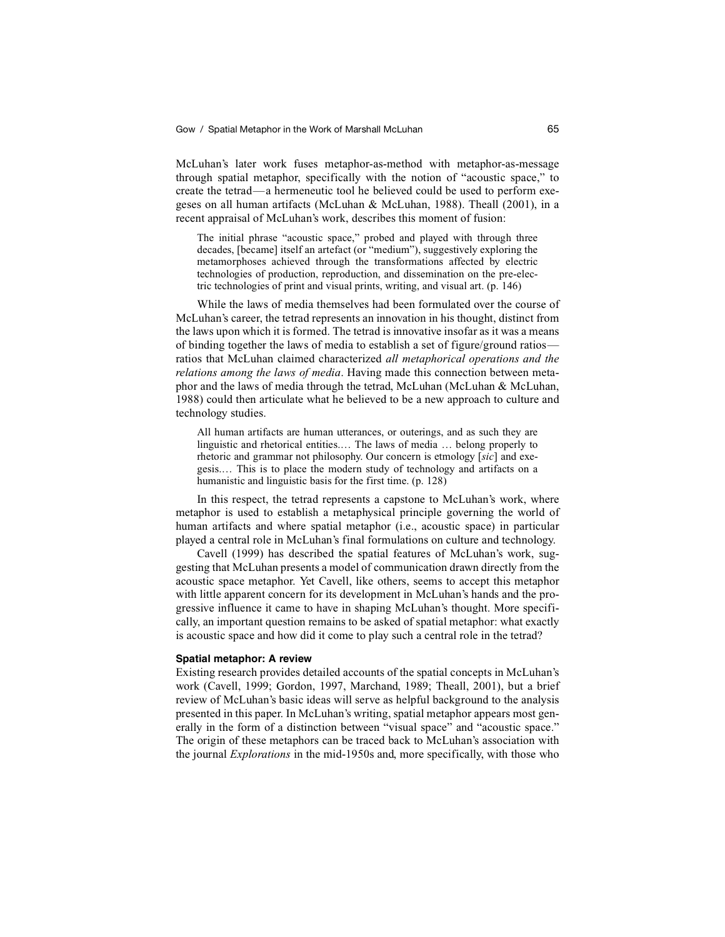McLuhan's later work fuses metaphor-as-method with metaphor-as-message through spatial metaphor, specifically with the notion of "acoustic space," to create the tetrad—a hermeneutic tool he believed could be used to perform exegeses on all human artifacts (McLuhan & McLuhan, 1988). Theall (2001), in a recent appraisal of McLuhan's work, describes this moment of fusion:

The initial phrase "acoustic space," probed and played with through three decades, [became] itself an artefact (or "medium"), suggestively exploring the metamorphoses achieved through the transformations affected by electric technologies of production, reproduction, and dissemination on the pre-electric technologies of print and visual prints, writing, and visual art. (p. 146)

While the laws of media themselves had been formulated over the course of McLuhan's career, the tetrad represents an innovation in his thought, distinct from the laws upon which it is formed. The tetrad is innovative insofar as it was a means of binding together the laws of media to establish a set of figure/ground ratios ratios that McLuhan claimed characterized *all metaphorical operations and the relations among the laws of media*. Having made this connection between metaphor and the laws of media through the tetrad, McLuhan (McLuhan & McLuhan, 1988) could then articulate what he believed to be a new approach to culture and technology studies.

All human artifacts are human utterances, or outerings, and as such they are linguistic and rhetorical entities.… The laws of media … belong properly to rhetoric and grammar not philosophy. Our concern is etmology [*sic*] and exegesis.… This is to place the modern study of technology and artifacts on a humanistic and linguistic basis for the first time. (p. 128)

In this respect, the tetrad represents a capstone to McLuhan's work, where metaphor is used to establish a metaphysical principle governing the world of human artifacts and where spatial metaphor (i.e., acoustic space) in particular played a central role in McLuhan's final formulations on culture and technology.

Cavell (1999) has described the spatial features of McLuhan's work, suggesting that McLuhan presents a model of communication drawn directly from the acoustic space metaphor. Yet Cavell, like others, seems to accept this metaphor with little apparent concern for its development in McLuhan's hands and the progressive influence it came to have in shaping McLuhan's thought. More specifically, an important question remains to be asked of spatial metaphor: what exactly is acoustic space and how did it come to play such a central role in the tetrad?

#### **Spatial metaphor: A review**

Existing research provides detailed accounts of the spatial concepts in McLuhan's work (Cavell, 1999; Gordon, 1997, Marchand, 1989; Theall, 2001), but a brief review of McLuhan's basic ideas will serve as helpful background to the analysis presented in this paper. In McLuhan's writing, spatial metaphor appears most generally in the form of a distinction between "visual space" and "acoustic space." The origin of these metaphors can be traced back to McLuhan's association with the journal *Explorations* in the mid-1950s and, more specifically, with those who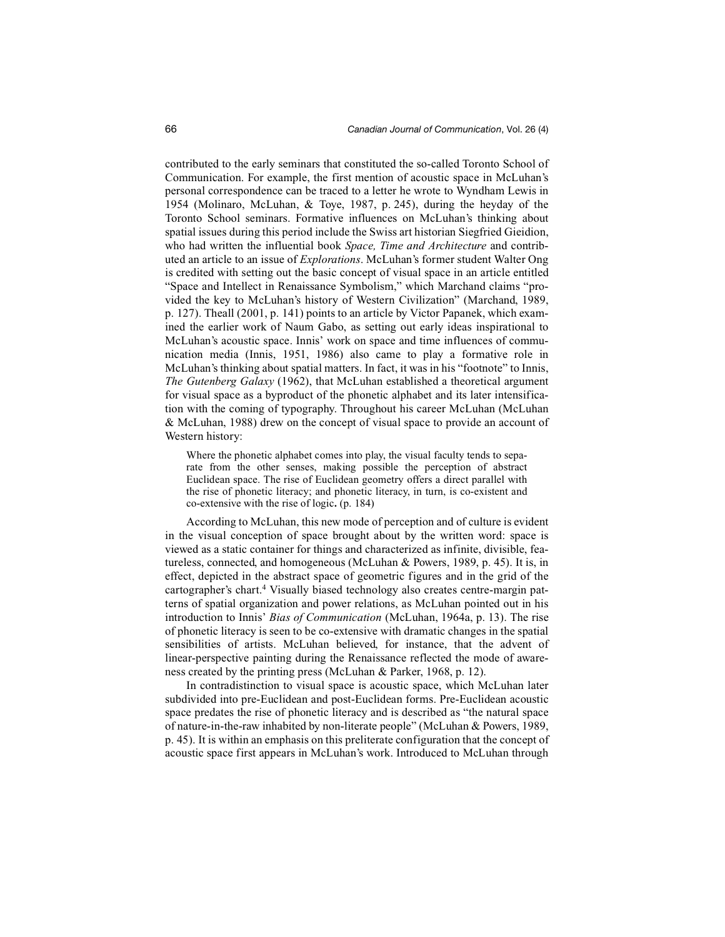contributed to the early seminars that constituted the so-called Toronto School of Communication. For example, the first mention of acoustic space in McLuhan's personal correspondence can be traced to a letter he wrote to Wyndham Lewis in 1954 (Molinaro, McLuhan, & Toye, 1987, p. 245), during the heyday of the Toronto School seminars. Formative influences on McLuhan's thinking about spatial issues during this period include the Swiss art historian Siegfried Gieidion, who had written the influential book *Space, Time and Architecture* and contributed an article to an issue of *Explorations*. McLuhan's former student Walter Ong is credited with setting out the basic concept of visual space in an article entitled "Space and Intellect in Renaissance Symbolism," which Marchand claims "provided the key to McLuhan's history of Western Civilization" (Marchand, 1989, p. 127). Theall (2001, p. 141) points to an article by Victor Papanek, which examined the earlier work of Naum Gabo, as setting out early ideas inspirational to McLuhan's acoustic space. Innis' work on space and time influences of communication media (Innis, 1951, 1986) also came to play a formative role in McLuhan's thinking about spatial matters. In fact, it was in his "footnote" to Innis, *The Gutenberg Galaxy* (1962), that McLuhan established a theoretical argument for visual space as a byproduct of the phonetic alphabet and its later intensification with the coming of typography. Throughout his career McLuhan (McLuhan & McLuhan, 1988) drew on the concept of visual space to provide an account of Western history:

Where the phonetic alphabet comes into play, the visual faculty tends to separate from the other senses, making possible the perception of abstract Euclidean space. The rise of Euclidean geometry offers a direct parallel with the rise of phonetic literacy; and phonetic literacy, in turn, is co-existent and co-extensive with the rise of logic**.** (p. 184)

According to McLuhan, this new mode of perception and of culture is evident in the visual conception of space brought about by the written word: space is viewed as a static container for things and characterized as infinite, divisible, featureless, connected, and homogeneous (McLuhan & Powers, 1989, p. 45). It is, in effect, depicted in the abstract space of geometric figures and in the grid of the cartographer's chart.4 Visually biased technology also creates centre-margin patterns of spatial organization and power relations, as McLuhan pointed out in his introduction to Innis' *Bias of Communication* (McLuhan, 1964a, p. 13). The rise of phonetic literacy is seen to be co-extensive with dramatic changes in the spatial sensibilities of artists. McLuhan believed, for instance, that the advent of linear-perspective painting during the Renaissance reflected the mode of awareness created by the printing press (McLuhan & Parker, 1968, p. 12).

In contradistinction to visual space is acoustic space, which McLuhan later subdivided into pre-Euclidean and post-Euclidean forms. Pre-Euclidean acoustic space predates the rise of phonetic literacy and is described as "the natural space of nature-in-the-raw inhabited by non-literate people" (McLuhan & Powers, 1989, p. 45). It is within an emphasis on this preliterate configuration that the concept of acoustic space first appears in McLuhan's work. Introduced to McLuhan through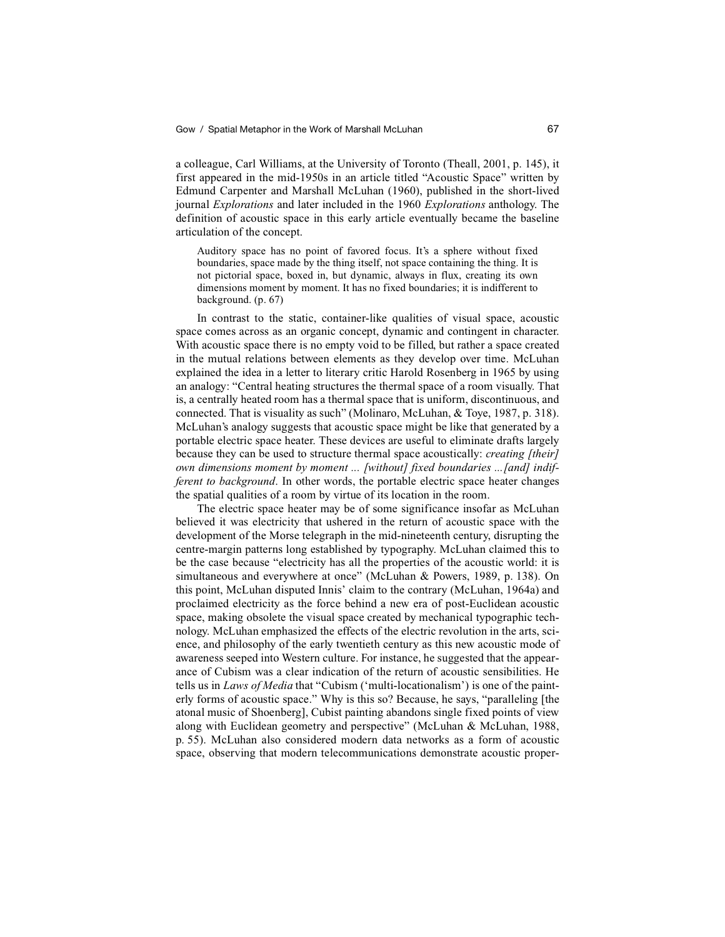a colleague, Carl Williams, at the University of Toronto (Theall, 2001, p. 145), it first appeared in the mid-1950s in an article titled "Acoustic Space" written by Edmund Carpenter and Marshall McLuhan (1960), published in the short-lived journal *Explorations* and later included in the 1960 *Explorations* anthology. The definition of acoustic space in this early article eventually became the baseline articulation of the concept.

Auditory space has no point of favored focus. It's a sphere without fixed boundaries, space made by the thing itself, not space containing the thing. It is not pictorial space, boxed in, but dynamic, always in flux, creating its own dimensions moment by moment. It has no fixed boundaries; it is indifferent to background. (p. 67)

In contrast to the static, container-like qualities of visual space, acoustic space comes across as an organic concept, dynamic and contingent in character. With acoustic space there is no empty void to be filled, but rather a space created in the mutual relations between elements as they develop over time. McLuhan explained the idea in a letter to literary critic Harold Rosenberg in 1965 by using an analogy: "Central heating structures the thermal space of a room visually. That is, a centrally heated room has a thermal space that is uniform, discontinuous, and connected. That is visuality as such" (Molinaro, McLuhan, & Toye, 1987, p. 318). McLuhan's analogy suggests that acoustic space might be like that generated by a portable electric space heater. These devices are useful to eliminate drafts largely because they can be used to structure thermal space acoustically: *creating [their] own dimensions moment by moment ... [without] fixed boundaries ...[and] indifferent to background*. In other words, the portable electric space heater changes the spatial qualities of a room by virtue of its location in the room.

The electric space heater may be of some significance insofar as McLuhan believed it was electricity that ushered in the return of acoustic space with the development of the Morse telegraph in the mid-nineteenth century, disrupting the centre-margin patterns long established by typography. McLuhan claimed this to be the case because "electricity has all the properties of the acoustic world: it is simultaneous and everywhere at once" (McLuhan & Powers, 1989, p. 138). On this point, McLuhan disputed Innis' claim to the contrary (McLuhan, 1964a) and proclaimed electricity as the force behind a new era of post-Euclidean acoustic space, making obsolete the visual space created by mechanical typographic technology. McLuhan emphasized the effects of the electric revolution in the arts, science, and philosophy of the early twentieth century as this new acoustic mode of awareness seeped into Western culture. For instance, he suggested that the appearance of Cubism was a clear indication of the return of acoustic sensibilities. He tells us in *Laws of Media* that "Cubism ('multi-locationalism') is one of the painterly forms of acoustic space." Why is this so? Because, he says, "paralleling [the atonal music of Shoenberg], Cubist painting abandons single fixed points of view along with Euclidean geometry and perspective" (McLuhan & McLuhan, 1988, p. 55). McLuhan also considered modern data networks as a form of acoustic space, observing that modern telecommunications demonstrate acoustic proper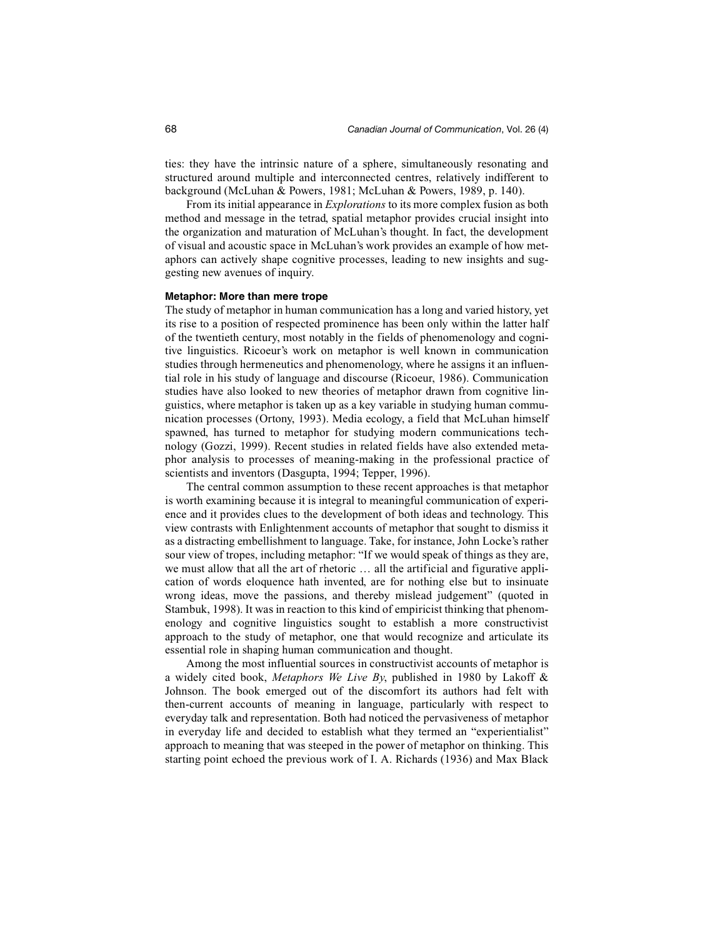ties: they have the intrinsic nature of a sphere, simultaneously resonating and structured around multiple and interconnected centres, relatively indifferent to background (McLuhan & Powers, 1981; McLuhan & Powers, 1989, p. 140).

From its initial appearance in *Explorations* to its more complex fusion as both method and message in the tetrad, spatial metaphor provides crucial insight into the organization and maturation of McLuhan's thought. In fact, the development of visual and acoustic space in McLuhan's work provides an example of how metaphors can actively shape cognitive processes, leading to new insights and suggesting new avenues of inquiry.

#### **Metaphor: More than mere trope**

The study of metaphor in human communication has a long and varied history, yet its rise to a position of respected prominence has been only within the latter half of the twentieth century, most notably in the fields of phenomenology and cognitive linguistics. Ricoeur's work on metaphor is well known in communication studies through hermeneutics and phenomenology, where he assigns it an influential role in his study of language and discourse (Ricoeur, 1986). Communication studies have also looked to new theories of metaphor drawn from cognitive linguistics, where metaphor is taken up as a key variable in studying human communication processes (Ortony, 1993). Media ecology, a field that McLuhan himself spawned, has turned to metaphor for studying modern communications technology (Gozzi, 1999). Recent studies in related fields have also extended metaphor analysis to processes of meaning-making in the professional practice of scientists and inventors (Dasgupta, 1994; Tepper, 1996).

The central common assumption to these recent approaches is that metaphor is worth examining because it is integral to meaningful communication of experience and it provides clues to the development of both ideas and technology. This view contrasts with Enlightenment accounts of metaphor that sought to dismiss it as a distracting embellishment to language. Take, for instance, John Locke's rather sour view of tropes, including metaphor: "If we would speak of things as they are, we must allow that all the art of rhetoric … all the artificial and figurative application of words eloquence hath invented, are for nothing else but to insinuate wrong ideas, move the passions, and thereby mislead judgement" (quoted in Stambuk, 1998). It was in reaction to this kind of empiricist thinking that phenomenology and cognitive linguistics sought to establish a more constructivist approach to the study of metaphor, one that would recognize and articulate its essential role in shaping human communication and thought.

Among the most influential sources in constructivist accounts of metaphor is a widely cited book, *Metaphors We Live By*, published in 1980 by Lakoff & Johnson. The book emerged out of the discomfort its authors had felt with then-current accounts of meaning in language, particularly with respect to everyday talk and representation. Both had noticed the pervasiveness of metaphor in everyday life and decided to establish what they termed an "experientialist" approach to meaning that was steeped in the power of metaphor on thinking. This starting point echoed the previous work of I. A. Richards (1936) and Max Black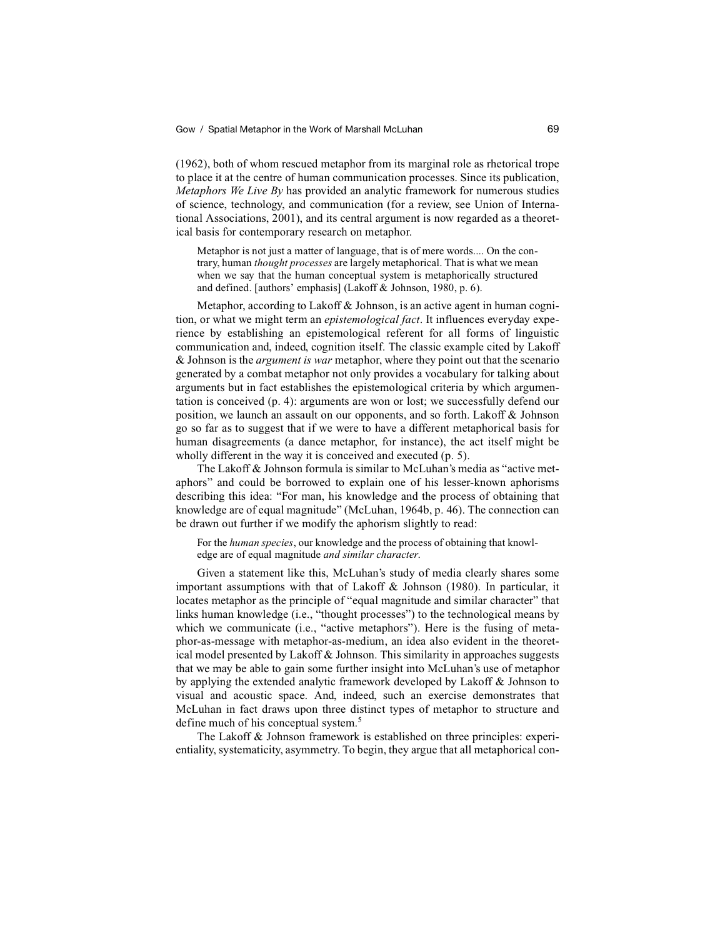(1962), both of whom rescued metaphor from its marginal role as rhetorical trope to place it at the centre of human communication processes. Since its publication, *Metaphors We Live By* has provided an analytic framework for numerous studies of science, technology, and communication (for a review, see Union of International Associations, 2001), and its central argument is now regarded as a theoretical basis for contemporary research on metaphor.

Metaphor is not just a matter of language, that is of mere words.... On the contrary, human *thought processes* are largely metaphorical. That is what we mean when we say that the human conceptual system is metaphorically structured and defined. [authors' emphasis] (Lakoff & Johnson, 1980, p. 6).

Metaphor, according to Lakoff & Johnson, is an active agent in human cognition, or what we might term an *epistemological fact*. It influences everyday experience by establishing an epistemological referent for all forms of linguistic communication and, indeed, cognition itself. The classic example cited by Lakoff & Johnson is the *argument is war* metaphor, where they point out that the scenario generated by a combat metaphor not only provides a vocabulary for talking about arguments but in fact establishes the epistemological criteria by which argumentation is conceived (p. 4): arguments are won or lost; we successfully defend our position, we launch an assault on our opponents, and so forth. Lakoff & Johnson go so far as to suggest that if we were to have a different metaphorical basis for human disagreements (a dance metaphor, for instance), the act itself might be wholly different in the way it is conceived and executed (p. 5).

The Lakoff & Johnson formula is similar to McLuhan's media as "active metaphors" and could be borrowed to explain one of his lesser-known aphorisms describing this idea: "For man, his knowledge and the process of obtaining that knowledge are of equal magnitude" (McLuhan, 1964b, p. 46). The connection can be drawn out further if we modify the aphorism slightly to read:

For the *human species*, our knowledge and the process of obtaining that knowledge are of equal magnitude *and similar character*.

Given a statement like this, McLuhan's study of media clearly shares some important assumptions with that of Lakoff & Johnson (1980). In particular, it locates metaphor as the principle of "equal magnitude and similar character" that links human knowledge (i.e., "thought processes") to the technological means by which we communicate (i.e., "active metaphors"). Here is the fusing of metaphor-as-message with metaphor-as-medium, an idea also evident in the theoretical model presented by Lakoff  $\&$  Johnson. This similarity in approaches suggests that we may be able to gain some further insight into McLuhan's use of metaphor by applying the extended analytic framework developed by Lakoff & Johnson to visual and acoustic space. And, indeed, such an exercise demonstrates that McLuhan in fact draws upon three distinct types of metaphor to structure and define much of his conceptual system.<sup>5</sup>

The Lakoff & Johnson framework is established on three principles: experientiality, systematicity, asymmetry. To begin, they argue that all metaphorical con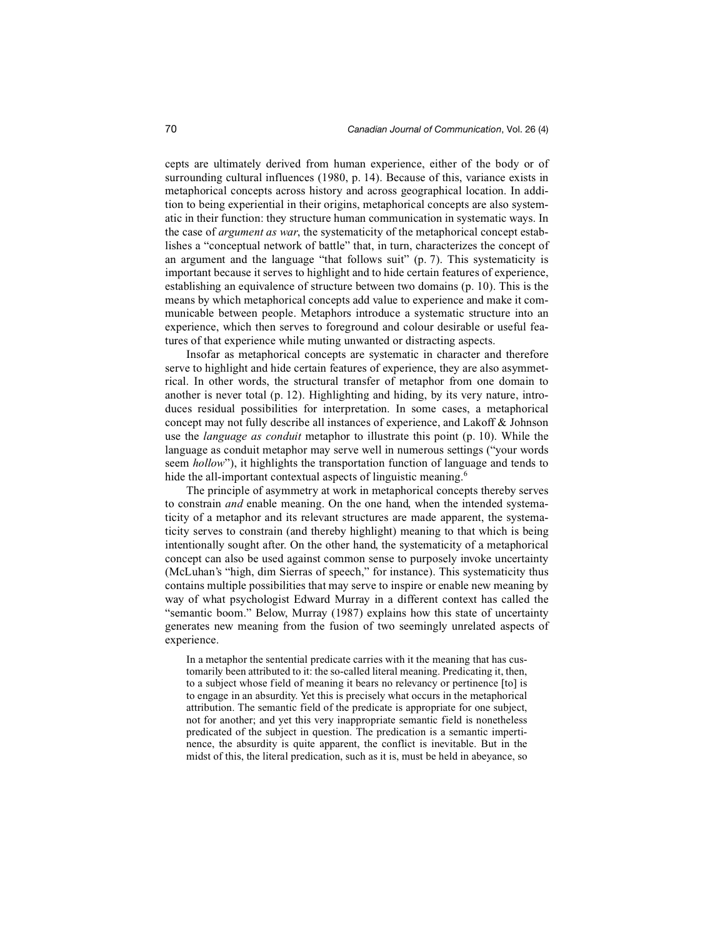cepts are ultimately derived from human experience, either of the body or of surrounding cultural influences (1980, p. 14). Because of this, variance exists in metaphorical concepts across history and across geographical location. In addition to being experiential in their origins, metaphorical concepts are also systematic in their function: they structure human communication in systematic ways. In the case of *argument as war*, the systematicity of the metaphorical concept establishes a "conceptual network of battle" that, in turn, characterizes the concept of an argument and the language "that follows suit" (p. 7). This systematicity is important because it serves to highlight and to hide certain features of experience, establishing an equivalence of structure between two domains (p. 10). This is the means by which metaphorical concepts add value to experience and make it communicable between people. Metaphors introduce a systematic structure into an experience, which then serves to foreground and colour desirable or useful features of that experience while muting unwanted or distracting aspects.

Insofar as metaphorical concepts are systematic in character and therefore serve to highlight and hide certain features of experience, they are also asymmetrical. In other words, the structural transfer of metaphor from one domain to another is never total (p. 12). Highlighting and hiding, by its very nature, introduces residual possibilities for interpretation. In some cases, a metaphorical concept may not fully describe all instances of experience, and Lakoff & Johnson use the *language as conduit* metaphor to illustrate this point (p. 10). While the language as conduit metaphor may serve well in numerous settings ("your words seem *hollow*"), it highlights the transportation function of language and tends to hide the all-important contextual aspects of linguistic meaning.<sup>6</sup>

The principle of asymmetry at work in metaphorical concepts thereby serves to constrain *and* enable meaning. On the one hand, when the intended systematicity of a metaphor and its relevant structures are made apparent, the systematicity serves to constrain (and thereby highlight) meaning to that which is being intentionally sought after. On the other hand, the systematicity of a metaphorical concept can also be used against common sense to purposely invoke uncertainty (McLuhan's "high, dim Sierras of speech," for instance). This systematicity thus contains multiple possibilities that may serve to inspire or enable new meaning by way of what psychologist Edward Murray in a different context has called the "semantic boom." Below, Murray (1987) explains how this state of uncertainty generates new meaning from the fusion of two seemingly unrelated aspects of experience.

In a metaphor the sentential predicate carries with it the meaning that has customarily been attributed to it: the so-called literal meaning. Predicating it, then, to a subject whose field of meaning it bears no relevancy or pertinence [to] is to engage in an absurdity. Yet this is precisely what occurs in the metaphorical attribution. The semantic field of the predicate is appropriate for one subject, not for another; and yet this very inappropriate semantic field is nonetheless predicated of the subject in question. The predication is a semantic impertinence, the absurdity is quite apparent, the conflict is inevitable. But in the midst of this, the literal predication, such as it is, must be held in abeyance, so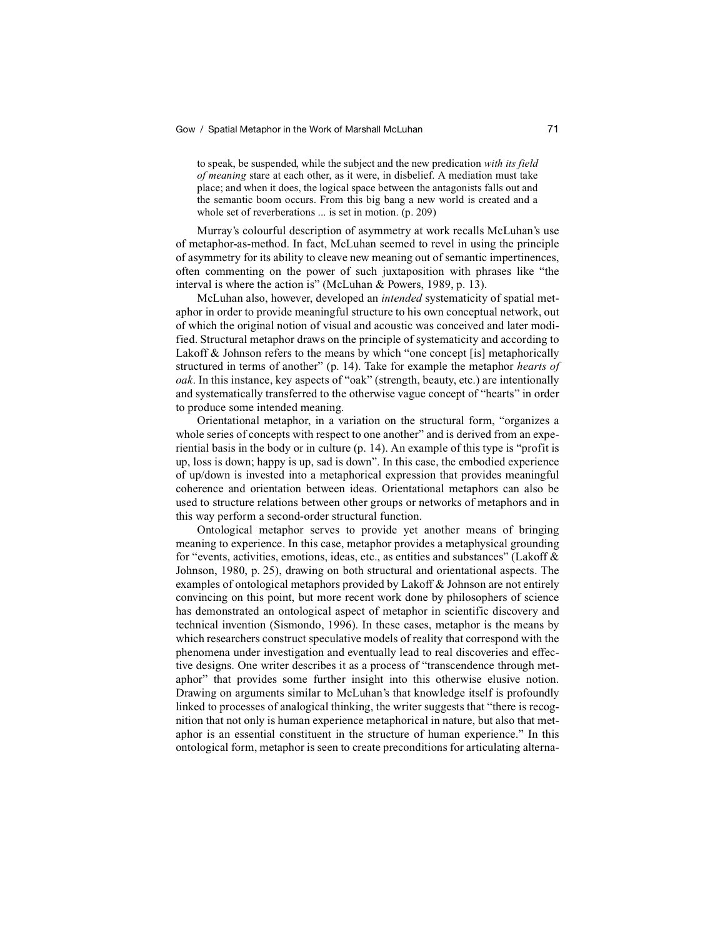# Gow / Spatial Metaphor in the Work of Marshall McLuhan 71

to speak, be suspended, while the subject and the new predication *with its field of meaning* stare at each other, as it were, in disbelief. A mediation must take place; and when it does, the logical space between the antagonists falls out and the semantic boom occurs. From this big bang a new world is created and a whole set of reverberations ... is set in motion. (p. 209)

Murray's colourful description of asymmetry at work recalls McLuhan's use of metaphor-as-method. In fact, McLuhan seemed to revel in using the principle of asymmetry for its ability to cleave new meaning out of semantic impertinences, often commenting on the power of such juxtaposition with phrases like "the interval is where the action is" (McLuhan & Powers, 1989, p. 13).

McLuhan also, however, developed an *intended* systematicity of spatial metaphor in order to provide meaningful structure to his own conceptual network, out of which the original notion of visual and acoustic was conceived and later modified. Structural metaphor draws on the principle of systematicity and according to Lakoff & Johnson refers to the means by which "one concept [is] metaphorically structured in terms of another" (p. 14). Take for example the metaphor *hearts of oak*. In this instance, key aspects of "oak" (strength, beauty, etc.) are intentionally and systematically transferred to the otherwise vague concept of "hearts" in order to produce some intended meaning.

Orientational metaphor, in a variation on the structural form, "organizes a whole series of concepts with respect to one another" and is derived from an experiential basis in the body or in culture (p. 14). An example of this type is "profit is up, loss is down; happy is up, sad is down". In this case, the embodied experience of up/down is invested into a metaphorical expression that provides meaningful coherence and orientation between ideas. Orientational metaphors can also be used to structure relations between other groups or networks of metaphors and in this way perform a second-order structural function.

Ontological metaphor serves to provide yet another means of bringing meaning to experience. In this case, metaphor provides a metaphysical grounding for "events, activities, emotions, ideas, etc., as entities and substances" (Lakoff & Johnson, 1980, p. 25), drawing on both structural and orientational aspects. The examples of ontological metaphors provided by Lakoff & Johnson are not entirely convincing on this point, but more recent work done by philosophers of science has demonstrated an ontological aspect of metaphor in scientific discovery and technical invention (Sismondo, 1996). In these cases, metaphor is the means by which researchers construct speculative models of reality that correspond with the phenomena under investigation and eventually lead to real discoveries and effective designs. One writer describes it as a process of "transcendence through metaphor" that provides some further insight into this otherwise elusive notion. Drawing on arguments similar to McLuhan's that knowledge itself is profoundly linked to processes of analogical thinking, the writer suggests that "there is recognition that not only is human experience metaphorical in nature, but also that metaphor is an essential constituent in the structure of human experience." In this ontological form, metaphor is seen to create preconditions for articulating alterna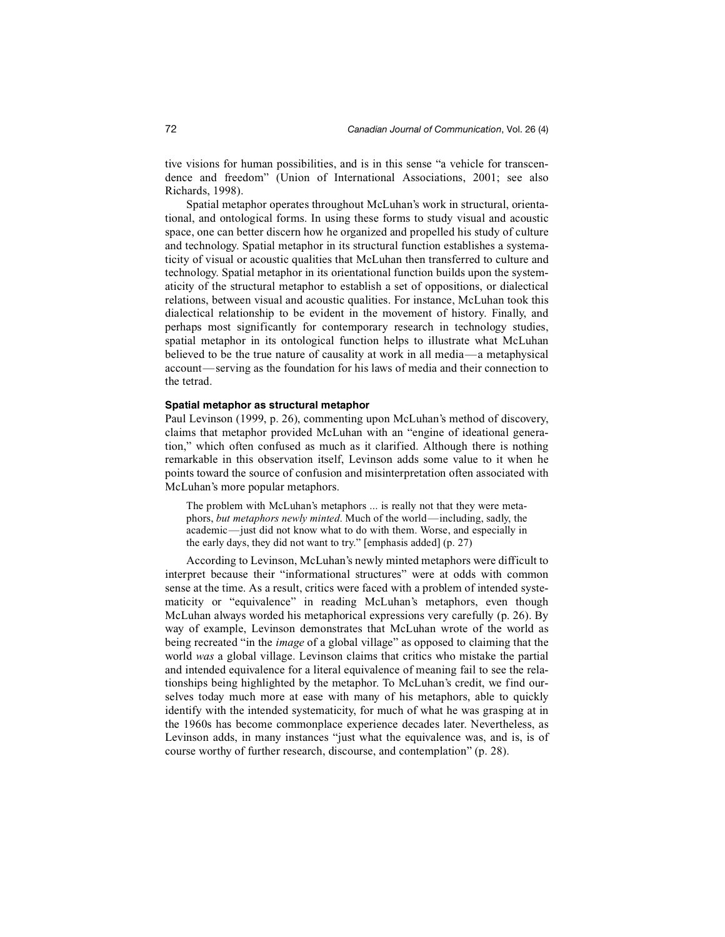tive visions for human possibilities, and is in this sense "a vehicle for transcendence and freedom" (Union of International Associations, 2001; see also Richards, 1998).

Spatial metaphor operates throughout McLuhan's work in structural, orientational, and ontological forms. In using these forms to study visual and acoustic space, one can better discern how he organized and propelled his study of culture and technology. Spatial metaphor in its structural function establishes a systematicity of visual or acoustic qualities that McLuhan then transferred to culture and technology. Spatial metaphor in its orientational function builds upon the systematicity of the structural metaphor to establish a set of oppositions, or dialectical relations, between visual and acoustic qualities. For instance, McLuhan took this dialectical relationship to be evident in the movement of history. Finally, and perhaps most significantly for contemporary research in technology studies, spatial metaphor in its ontological function helps to illustrate what McLuhan believed to be the true nature of causality at work in all media—a metaphysical account—serving as the foundation for his laws of media and their connection to the tetrad.

## **Spatial metaphor as structural metaphor**

Paul Levinson (1999, p. 26), commenting upon McLuhan's method of discovery, claims that metaphor provided McLuhan with an "engine of ideational generation," which often confused as much as it clarified. Although there is nothing remarkable in this observation itself, Levinson adds some value to it when he points toward the source of confusion and misinterpretation often associated with McLuhan's more popular metaphors.

The problem with McLuhan's metaphors ... is really not that they were metaphors, *but metaphors newly minted*. Much of the world—including, sadly, the academic—just did not know what to do with them. Worse, and especially in the early days, they did not want to try." [emphasis added] (p. 27)

According to Levinson, McLuhan's newly minted metaphors were difficult to interpret because their "informational structures" were at odds with common sense at the time. As a result, critics were faced with a problem of intended systematicity or "equivalence" in reading McLuhan's metaphors, even though McLuhan always worded his metaphorical expressions very carefully (p. 26). By way of example, Levinson demonstrates that McLuhan wrote of the world as being recreated "in the *image* of a global village" as opposed to claiming that the world *was* a global village. Levinson claims that critics who mistake the partial and intended equivalence for a literal equivalence of meaning fail to see the relationships being highlighted by the metaphor. To McLuhan's credit, we find ourselves today much more at ease with many of his metaphors, able to quickly identify with the intended systematicity, for much of what he was grasping at in the 1960s has become commonplace experience decades later. Nevertheless, as Levinson adds, in many instances "just what the equivalence was, and is, is of course worthy of further research, discourse, and contemplation" (p. 28).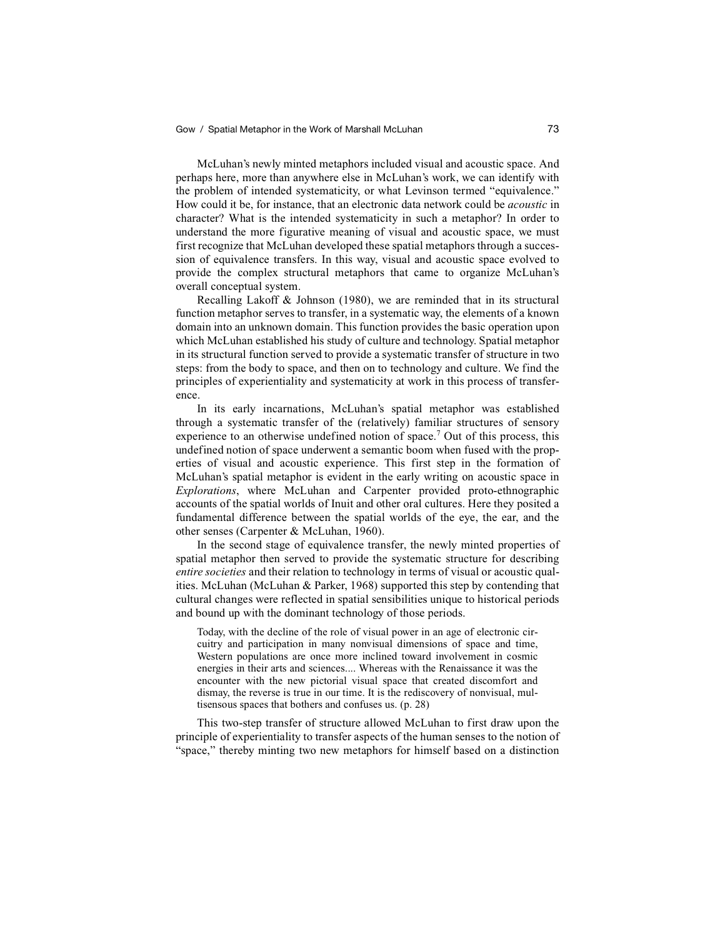McLuhan's newly minted metaphors included visual and acoustic space. And perhaps here, more than anywhere else in McLuhan's work, we can identify with the problem of intended systematicity, or what Levinson termed "equivalence." How could it be, for instance, that an electronic data network could be *acoustic* in character? What is the intended systematicity in such a metaphor? In order to understand the more figurative meaning of visual and acoustic space, we must first recognize that McLuhan developed these spatial metaphors through a succession of equivalence transfers. In this way, visual and acoustic space evolved to provide the complex structural metaphors that came to organize McLuhan's overall conceptual system.

Recalling Lakoff & Johnson (1980), we are reminded that in its structural function metaphor serves to transfer, in a systematic way, the elements of a known domain into an unknown domain. This function provides the basic operation upon which McLuhan established his study of culture and technology. Spatial metaphor in its structural function served to provide a systematic transfer of structure in two steps: from the body to space, and then on to technology and culture. We find the principles of experientiality and systematicity at work in this process of transference.

In its early incarnations, McLuhan's spatial metaphor was established through a systematic transfer of the (relatively) familiar structures of sensory experience to an otherwise undefined notion of space.<sup>7</sup> Out of this process, this undefined notion of space underwent a semantic boom when fused with the properties of visual and acoustic experience. This first step in the formation of McLuhan's spatial metaphor is evident in the early writing on acoustic space in *Explorations*, where McLuhan and Carpenter provided proto-ethnographic accounts of the spatial worlds of Inuit and other oral cultures. Here they posited a fundamental difference between the spatial worlds of the eye, the ear, and the other senses (Carpenter & McLuhan, 1960).

In the second stage of equivalence transfer, the newly minted properties of spatial metaphor then served to provide the systematic structure for describing *entire societies* and their relation to technology in terms of visual or acoustic qualities. McLuhan (McLuhan & Parker, 1968) supported this step by contending that cultural changes were reflected in spatial sensibilities unique to historical periods and bound up with the dominant technology of those periods.

Today, with the decline of the role of visual power in an age of electronic circuitry and participation in many nonvisual dimensions of space and time, Western populations are once more inclined toward involvement in cosmic energies in their arts and sciences.... Whereas with the Renaissance it was the encounter with the new pictorial visual space that created discomfort and dismay, the reverse is true in our time. It is the rediscovery of nonvisual, multisensous spaces that bothers and confuses us. (p. 28)

This two-step transfer of structure allowed McLuhan to first draw upon the principle of experientiality to transfer aspects of the human senses to the notion of "space," thereby minting two new metaphors for himself based on a distinction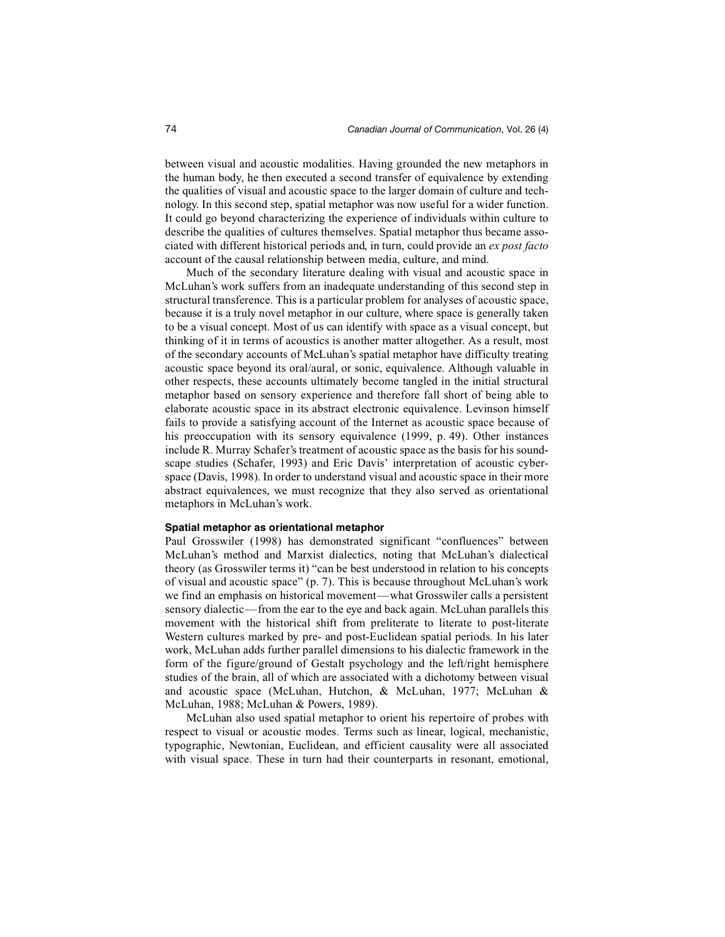between visual and acoustic modalities. Having grounded the new metaphors in the human body, he then executed a second transfer of equivalence by extending the qualities of visual and acoustic space to the larger domain of culture and technology. In this second step, spatial metaphor was now useful for a wider function. It could go beyond characterizing the experience of individuals within culture to describe the qualities of cultures themselves. Spatial metaphor thus became associated with different historical periods and, in turn, could provide an *ex post facto* account of the causal relationship between media, culture, and mind.

Much of the secondary literature dealing with visual and acoustic space in McLuhan's work suffers from an inadequate understanding of this second step in structural transference. This is a particular problem for analyses of acoustic space, because it is a truly novel metaphor in our culture, where space is generally taken to be a visual concept. Most of us can identify with space as a visual concept, but thinking of it in terms of acoustics is another matter altogether. As a result, most of the secondary accounts of McLuhan's spatial metaphor have difficulty treating acoustic space beyond its oral/aural, or sonic, equivalence. Although valuable in other respects, these accounts ultimately become tangled in the initial structural metaphor based on sensory experience and therefore fall short of being able to elaborate acoustic space in its abstract electronic equivalence. Levinson himself fails to provide a satisfying account of the Internet as acoustic space because of his preoccupation with its sensory equivalence (1999, p. 49). Other instances include R. Murray Schafer's treatment of acoustic space as the basis for his soundscape studies (Schafer, 1993) and Eric Davis' interpretation of acoustic cyberspace (Davis, 1998). In order to understand visual and acoustic space in their more abstract equivalences, we must recognize that they also served as orientational metaphors in McLuhan's work.

# **Spatial metaphor as orientational metaphor**

Paul Grosswiler (1998) has demonstrated significant "confluences" between McLuhan's method and Marxist dialectics, noting that McLuhan's dialectical theory (as Grosswiler terms it) "can be best understood in relation to his concepts of visual and acoustic space" (p. 7). This is because throughout McLuhan's work we find an emphasis on historical movement—what Grosswiler calls a persistent sensory dialectic—from the ear to the eye and back again. McLuhan parallels this movement with the historical shift from preliterate to literate to post-literate Western cultures marked by pre- and post-Euclidean spatial periods. In his later work, McLuhan adds further parallel dimensions to his dialectic framework in the form of the figure/ground of Gestalt psychology and the left/right hemisphere studies of the brain, all of which are associated with a dichotomy between visual and acoustic space (McLuhan, Hutchon, & McLuhan, 1977; McLuhan & McLuhan, 1988; McLuhan & Powers, 1989).

McLuhan also used spatial metaphor to orient his repertoire of probes with respect to visual or acoustic modes. Terms such as linear, logical, mechanistic, typographic, Newtonian, Euclidean, and efficient causality were all associated with visual space. These in turn had their counterparts in resonant, emotional,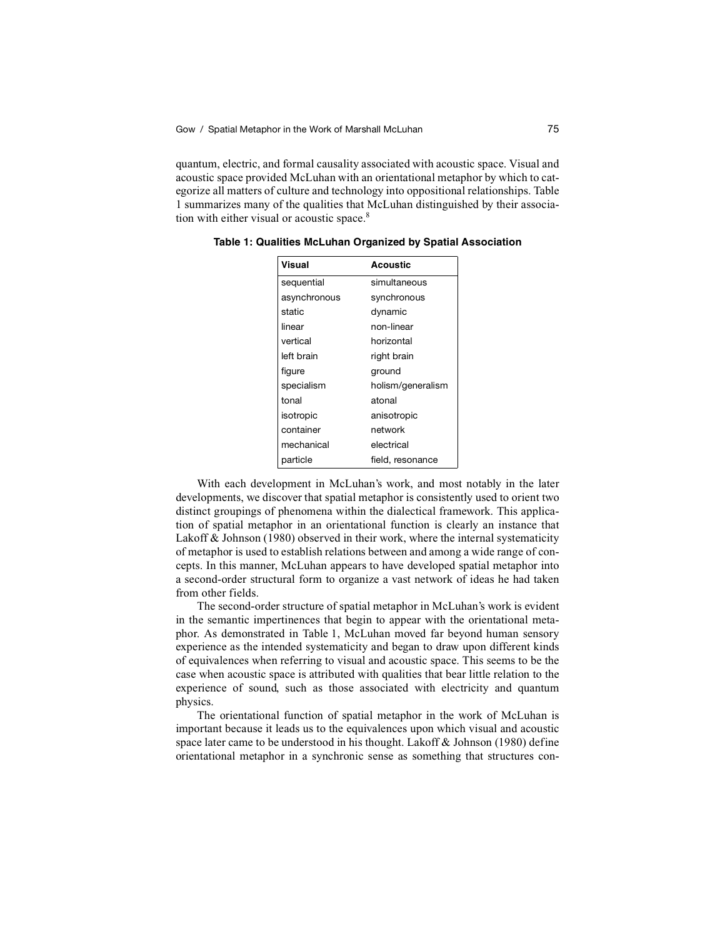quantum, electric, and formal causality associated with acoustic space. Visual and acoustic space provided McLuhan with an orientational metaphor by which to categorize all matters of culture and technology into oppositional relationships. Table 1 summarizes many of the qualities that McLuhan distinguished by their association with either visual or acoustic space.<sup>8</sup>

| Visual       | <b>Acoustic</b>   |
|--------------|-------------------|
| sequential   | simultaneous      |
| asynchronous | synchronous       |
| static       | dynamic           |
| linear       | non-linear        |
| vertical     | horizontal        |
| left brain   | right brain       |
| figure       | ground            |
| specialism   | holism/generalism |
| tonal        | atonal            |
| isotropic    | anisotropic       |
| container    | network           |
| mechanical   | electrical        |
| particle     | field, resonance  |

**Table 1: Qualities McLuhan Organized by Spatial Association**

With each development in McLuhan's work, and most notably in the later developments, we discover that spatial metaphor is consistently used to orient two distinct groupings of phenomena within the dialectical framework. This application of spatial metaphor in an orientational function is clearly an instance that Lakoff & Johnson (1980) observed in their work, where the internal systematicity of metaphor is used to establish relations between and among a wide range of concepts. In this manner, McLuhan appears to have developed spatial metaphor into a second-order structural form to organize a vast network of ideas he had taken from other fields.

The second-order structure of spatial metaphor in McLuhan's work is evident in the semantic impertinences that begin to appear with the orientational metaphor. As demonstrated in Table 1, McLuhan moved far beyond human sensory experience as the intended systematicity and began to draw upon different kinds of equivalences when referring to visual and acoustic space. This seems to be the case when acoustic space is attributed with qualities that bear little relation to the experience of sound, such as those associated with electricity and quantum physics.

The orientational function of spatial metaphor in the work of McLuhan is important because it leads us to the equivalences upon which visual and acoustic space later came to be understood in his thought. Lakoff & Johnson (1980) define orientational metaphor in a synchronic sense as something that structures con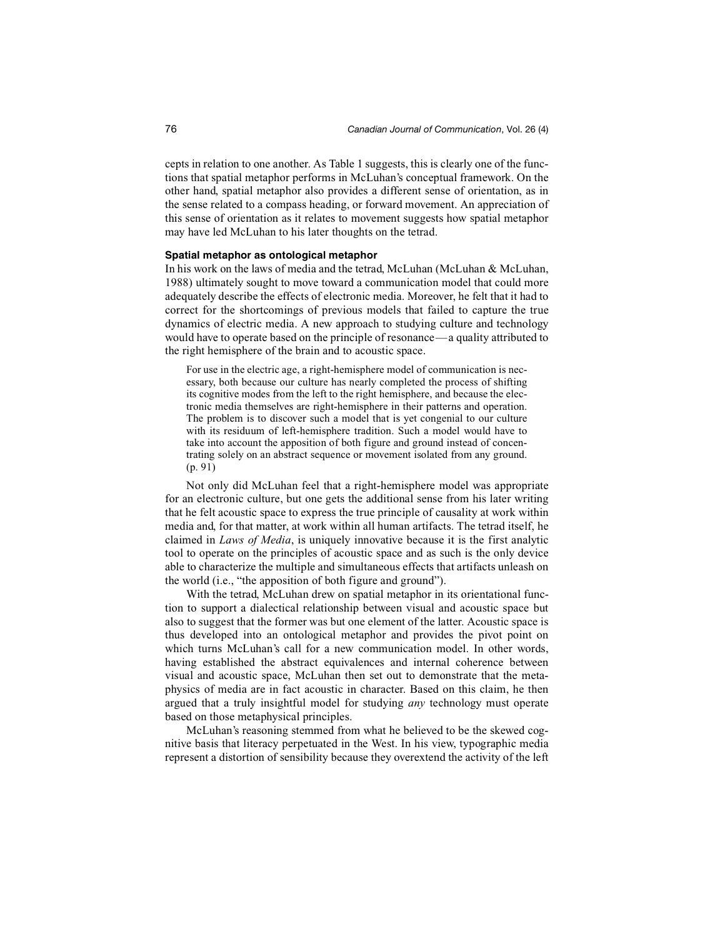cepts in relation to one another. As Table 1 suggests, this is clearly one of the functions that spatial metaphor performs in McLuhan's conceptual framework. On the other hand, spatial metaphor also provides a different sense of orientation, as in the sense related to a compass heading, or forward movement. An appreciation of this sense of orientation as it relates to movement suggests how spatial metaphor may have led McLuhan to his later thoughts on the tetrad.

#### **Spatial metaphor as ontological metaphor**

In his work on the laws of media and the tetrad, McLuhan (McLuhan & McLuhan, 1988) ultimately sought to move toward a communication model that could more adequately describe the effects of electronic media. Moreover, he felt that it had to correct for the shortcomings of previous models that failed to capture the true dynamics of electric media. A new approach to studying culture and technology would have to operate based on the principle of resonance—a quality attributed to the right hemisphere of the brain and to acoustic space.

For use in the electric age, a right-hemisphere model of communication is necessary, both because our culture has nearly completed the process of shifting its cognitive modes from the left to the right hemisphere, and because the electronic media themselves are right-hemisphere in their patterns and operation. The problem is to discover such a model that is yet congenial to our culture with its residuum of left-hemisphere tradition. Such a model would have to take into account the apposition of both figure and ground instead of concentrating solely on an abstract sequence or movement isolated from any ground. (p. 91)

Not only did McLuhan feel that a right-hemisphere model was appropriate for an electronic culture, but one gets the additional sense from his later writing that he felt acoustic space to express the true principle of causality at work within media and, for that matter, at work within all human artifacts. The tetrad itself, he claimed in *Laws of Media*, is uniquely innovative because it is the first analytic tool to operate on the principles of acoustic space and as such is the only device able to characterize the multiple and simultaneous effects that artifacts unleash on the world (i.e., "the apposition of both figure and ground").

With the tetrad, McLuhan drew on spatial metaphor in its orientational function to support a dialectical relationship between visual and acoustic space but also to suggest that the former was but one element of the latter. Acoustic space is thus developed into an ontological metaphor and provides the pivot point on which turns McLuhan's call for a new communication model. In other words, having established the abstract equivalences and internal coherence between visual and acoustic space, McLuhan then set out to demonstrate that the metaphysics of media are in fact acoustic in character. Based on this claim, he then argued that a truly insightful model for studying *any* technology must operate based on those metaphysical principles.

McLuhan's reasoning stemmed from what he believed to be the skewed cognitive basis that literacy perpetuated in the West. In his view, typographic media represent a distortion of sensibility because they overextend the activity of the left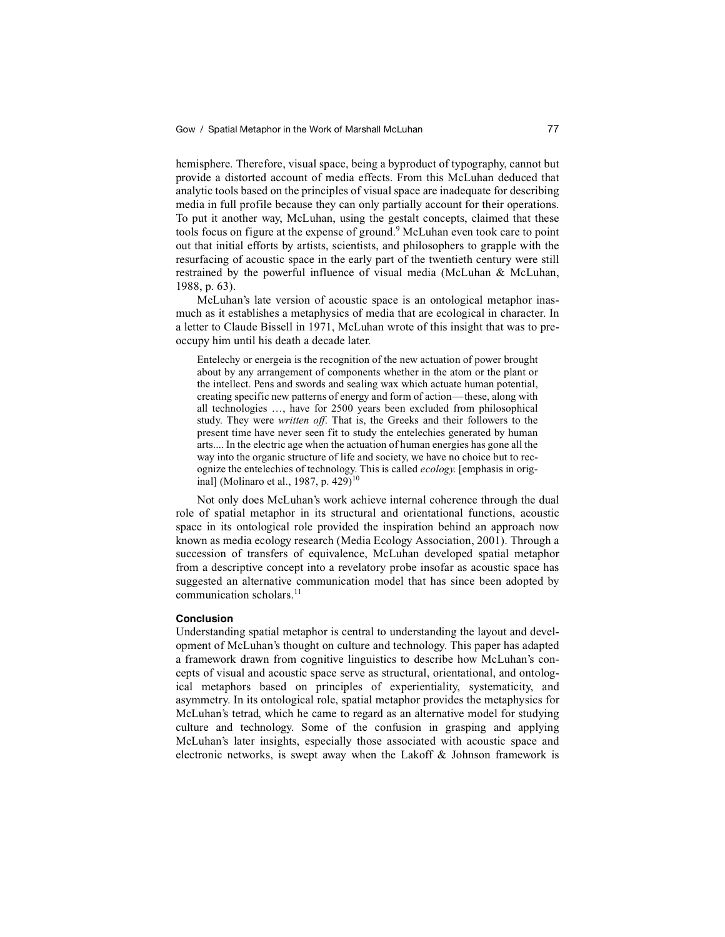hemisphere. Therefore, visual space, being a byproduct of typography, cannot but provide a distorted account of media effects. From this McLuhan deduced that analytic tools based on the principles of visual space are inadequate for describing media in full profile because they can only partially account for their operations. To put it another way, McLuhan, using the gestalt concepts, claimed that these tools focus on figure at the expense of ground.<sup>9</sup> McLuhan even took care to point out that initial efforts by artists, scientists, and philosophers to grapple with the resurfacing of acoustic space in the early part of the twentieth century were still restrained by the powerful influence of visual media (McLuhan & McLuhan, 1988, p. 63).

McLuhan's late version of acoustic space is an ontological metaphor inasmuch as it establishes a metaphysics of media that are ecological in character. In a letter to Claude Bissell in 1971, McLuhan wrote of this insight that was to preoccupy him until his death a decade later.

Entelechy or energeia is the recognition of the new actuation of power brought about by any arrangement of components whether in the atom or the plant or the intellect. Pens and swords and sealing wax which actuate human potential, creating specific new patterns of energy and form of action—these, along with all technologies …, have for 2500 years been excluded from philosophical study. They were *written off*. That is, the Greeks and their followers to the present time have never seen fit to study the entelechies generated by human arts.... In the electric age when the actuation of human energies has gone all the way into the organic structure of life and society, we have no choice but to recognize the entelechies of technology. This is called *ecology*. [emphasis in original] (Molinaro et al., 1987, p. 429)<sup>10</sup>

Not only does McLuhan's work achieve internal coherence through the dual role of spatial metaphor in its structural and orientational functions, acoustic space in its ontological role provided the inspiration behind an approach now known as media ecology research (Media Ecology Association, 2001). Through a succession of transfers of equivalence, McLuhan developed spatial metaphor from a descriptive concept into a revelatory probe insofar as acoustic space has suggested an alternative communication model that has since been adopted by communication scholars.11

#### **Conclusion**

Understanding spatial metaphor is central to understanding the layout and development of McLuhan's thought on culture and technology. This paper has adapted a framework drawn from cognitive linguistics to describe how McLuhan's concepts of visual and acoustic space serve as structural, orientational, and ontological metaphors based on principles of experientiality, systematicity, and asymmetry. In its ontological role, spatial metaphor provides the metaphysics for McLuhan's tetrad, which he came to regard as an alternative model for studying culture and technology. Some of the confusion in grasping and applying McLuhan's later insights, especially those associated with acoustic space and electronic networks, is swept away when the Lakoff & Johnson framework is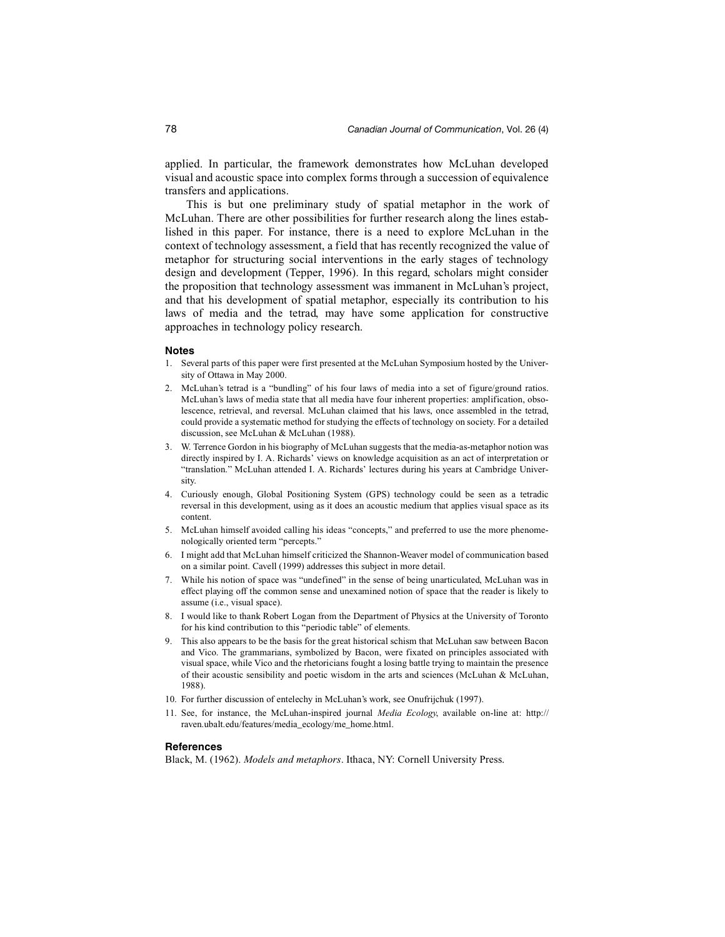applied. In particular, the framework demonstrates how McLuhan developed visual and acoustic space into complex forms through a succession of equivalence transfers and applications.

This is but one preliminary study of spatial metaphor in the work of McLuhan. There are other possibilities for further research along the lines established in this paper. For instance, there is a need to explore McLuhan in the context of technology assessment, a field that has recently recognized the value of metaphor for structuring social interventions in the early stages of technology design and development (Tepper, 1996). In this regard, scholars might consider the proposition that technology assessment was immanent in McLuhan's project, and that his development of spatial metaphor, especially its contribution to his laws of media and the tetrad, may have some application for constructive approaches in technology policy research.

#### **Notes**

- 1. Several parts of this paper were first presented at the McLuhan Symposium hosted by the University of Ottawa in May 2000.
- 2. McLuhan's tetrad is a "bundling" of his four laws of media into a set of figure/ground ratios. McLuhan's laws of media state that all media have four inherent properties: amplification, obsolescence, retrieval, and reversal. McLuhan claimed that his laws, once assembled in the tetrad, could provide a systematic method for studying the effects of technology on society. For a detailed discussion, see McLuhan & McLuhan (1988).
- 3. W. Terrence Gordon in his biography of McLuhan suggests that the media-as-metaphor notion was directly inspired by I. A. Richards' views on knowledge acquisition as an act of interpretation or "translation." McLuhan attended I. A. Richards' lectures during his years at Cambridge University.
- 4. Curiously enough, Global Positioning System (GPS) technology could be seen as a tetradic reversal in this development, using as it does an acoustic medium that applies visual space as its content.
- 5. McLuhan himself avoided calling his ideas "concepts," and preferred to use the more phenomenologically oriented term "percepts."
- 6. I might add that McLuhan himself criticized the Shannon-Weaver model of communication based on a similar point. Cavell (1999) addresses this subject in more detail.
- 7. While his notion of space was "undefined" in the sense of being unarticulated, McLuhan was in effect playing off the common sense and unexamined notion of space that the reader is likely to assume (i.e., visual space).
- 8. I would like to thank Robert Logan from the Department of Physics at the University of Toronto for his kind contribution to this "periodic table" of elements.
- 9. This also appears to be the basis for the great historical schism that McLuhan saw between Bacon and Vico. The grammarians, symbolized by Bacon, were fixated on principles associated with visual space, while Vico and the rhetoricians fought a losing battle trying to maintain the presence of their acoustic sensibility and poetic wisdom in the arts and sciences (McLuhan & McLuhan, 1988).
- 10. For further discussion of entelechy in McLuhan's work, see Onufrijchuk (1997).
- 11. See, for instance, the McLuhan-inspired journal *Media Ecology*, available on-line at: http:// raven.ubalt.edu/features/media\_ecology/me\_home.html.

#### **References**

Black, M. (1962). *Models and metaphors*. Ithaca, NY: Cornell University Press.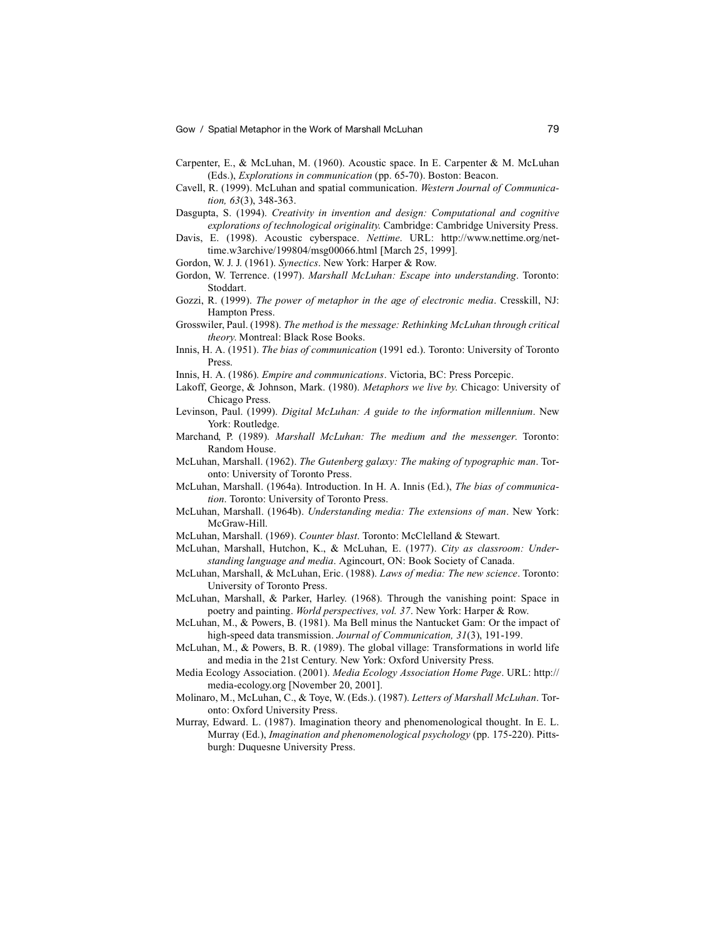Gow / Spatial Metaphor in the Work of Marshall McLuhan 79

- Carpenter, E., & McLuhan, M. (1960). Acoustic space. In E. Carpenter & M. McLuhan (Eds.), *Explorations in communication* (pp. 65-70). Boston: Beacon.
- Cavell, R. (1999). McLuhan and spatial communication. *Western Journal of Communication, 63*(3), 348-363.
- Dasgupta, S. (1994). *Creativity in invention and design: Computational and cognitive explorations of technological originality*. Cambridge: Cambridge University Press.
- Davis, E. (1998). Acoustic cyberspace. *Nettime*. URL: http://www.nettime.org/nettime.w3archive/199804/msg00066.html [March 25, 1999].
- Gordon, W. J. J. (1961). *Synectics*. New York: Harper & Row.
- Gordon, W. Terrence. (1997). *Marshall McLuhan: Escape into understanding*. Toronto: Stoddart.
- Gozzi, R. (1999). *The power of metaphor in the age of electronic media*. Cresskill, NJ: Hampton Press.
- Grosswiler, Paul. (1998). *The method is the message: Rethinking McLuhan through critical theory*. Montreal: Black Rose Books.
- Innis, H. A. (1951). *The bias of communication* (1991 ed.). Toronto: University of Toronto Press.
- Innis, H. A. (1986). *Empire and communications*. Victoria, BC: Press Porcepic.
- Lakoff, George, & Johnson, Mark. (1980). *Metaphors we live by*. Chicago: University of Chicago Press.
- Levinson, Paul. (1999). *Digital McLuhan: A guide to the information millennium*. New York: Routledge.
- Marchand, P. (1989). *Marshall McLuhan: The medium and the messenger*. Toronto: Random House.
- McLuhan, Marshall. (1962). *The Gutenberg galaxy: The making of typographic man*. Toronto: University of Toronto Press.
- McLuhan, Marshall. (1964a). Introduction. In H. A. Innis (Ed.), *The bias of communication*. Toronto: University of Toronto Press.
- McLuhan, Marshall. (1964b). *Understanding media: The extensions of man*. New York: McGraw-Hill.
- McLuhan, Marshall. (1969). *Counter blast*. Toronto: McClelland & Stewart.
- McLuhan, Marshall, Hutchon, K., & McLuhan, E. (1977). *City as classroom: Understanding language and media*. Agincourt, ON: Book Society of Canada.
- McLuhan, Marshall, & McLuhan, Eric. (1988). *Laws of media: The new science*. Toronto: University of Toronto Press.
- McLuhan, Marshall, & Parker, Harley. (1968). Through the vanishing point: Space in poetry and painting. *World perspectives, vol. 37*. New York: Harper & Row.
- McLuhan, M., & Powers, B. (1981). Ma Bell minus the Nantucket Gam: Or the impact of high-speed data transmission. *Journal of Communication, 31*(3), 191-199.
- McLuhan, M., & Powers, B. R. (1989). The global village: Transformations in world life and media in the 21st Century. New York: Oxford University Press.
- Media Ecology Association. (2001). *Media Ecology Association Home Page*. URL: http:// media-ecology.org [November 20, 2001].
- Molinaro, M., McLuhan, C., & Toye, W. (Eds.). (1987). *Letters of Marshall McLuhan*. Toronto: Oxford University Press.
- Murray, Edward. L. (1987). Imagination theory and phenomenological thought. In E. L. Murray (Ed.), *Imagination and phenomenological psychology* (pp. 175-220). Pittsburgh: Duquesne University Press.